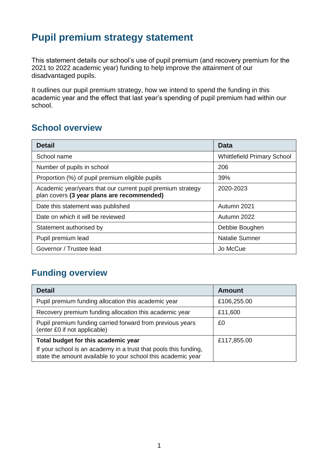# **Pupil premium strategy statement**

This statement details our school's use of pupil premium (and recovery premium for the 2021 to 2022 academic year) funding to help improve the attainment of our disadvantaged pupils.

It outlines our pupil premium strategy, how we intend to spend the funding in this academic year and the effect that last year's spending of pupil premium had within our school.

## **School overview**

| <b>Detail</b>                                                                                             | Data                               |
|-----------------------------------------------------------------------------------------------------------|------------------------------------|
| School name                                                                                               | <b>Whittlefield Primary School</b> |
| Number of pupils in school                                                                                | 206                                |
| Proportion (%) of pupil premium eligible pupils                                                           | 39%                                |
| Academic year/years that our current pupil premium strategy<br>plan covers (3 year plans are recommended) | 2020-2023                          |
| Date this statement was published                                                                         | Autumn 2021                        |
| Date on which it will be reviewed                                                                         | Autumn 2022                        |
| Statement authorised by                                                                                   | Debbie Boughen                     |
| Pupil premium lead                                                                                        | Natalie Sumner                     |
| Governor / Trustee lead                                                                                   | Jo McCue                           |

## **Funding overview**

| <b>Detail</b>                                                                                                                    | Amount      |
|----------------------------------------------------------------------------------------------------------------------------------|-------------|
| Pupil premium funding allocation this academic year                                                                              | £106,255.00 |
| Recovery premium funding allocation this academic year                                                                           | £11,600     |
| Pupil premium funding carried forward from previous years<br>(enter £0 if not applicable)                                        | £0          |
| Total budget for this academic year                                                                                              | £117,855.00 |
| If your school is an academy in a trust that pools this funding,<br>state the amount available to your school this academic year |             |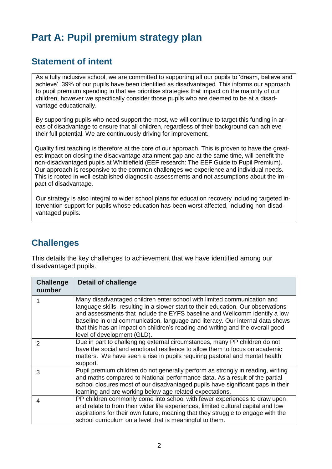# **Part A: Pupil premium strategy plan**

### **Statement of intent**

As a fully inclusive school, we are committed to supporting all our pupils to 'dream, believe and achieve'. 39% of our pupils have been identified as disadvantaged. This informs our approach to pupil premium spending in that we prioritise strategies that impact on the majority of our children, however we specifically consider those pupils who are deemed to be at a disadvantage educationally.

By supporting pupils who need support the most, we will continue to target this funding in areas of disadvantage to ensure that all children, regardless of their background can achieve their full potential. We are continuously driving for improvement.

Quality first teaching is therefore at the core of our approach. This is proven to have the greatest impact on closing the disadvantage attainment gap and at the same time, will benefit the non-disadvantaged pupils at Whittlefield (EEF research: The EEF Guide to Pupil Premium). Our approach is responsive to the common challenges we experience and individual needs. This is rooted in well-established diagnostic assessments and not assumptions about the impact of disadvantage.

Our strategy is also integral to wider school plans for education recovery including targeted intervention support for pupils whose education has been worst affected, including non-disadvantaged pupils.

### **Challenges**

This details the key challenges to achievement that we have identified among our disadvantaged pupils.

| <b>Challenge</b><br>number | <b>Detail of challenge</b>                                                                                                                                                                                                                                                                                                                                                                                                                    |
|----------------------------|-----------------------------------------------------------------------------------------------------------------------------------------------------------------------------------------------------------------------------------------------------------------------------------------------------------------------------------------------------------------------------------------------------------------------------------------------|
|                            | Many disadvantaged children enter school with limited communication and<br>language skills, resulting in a slower start to their education. Our observations<br>and assessments that include the EYFS baseline and Wellcomm identify a low<br>baseline in oral communication, language and literacy. Our internal data shows<br>that this has an impact on children's reading and writing and the overall good<br>level of development (GLD). |
| 2                          | Due in part to challenging external circumstances, many PP children do not<br>have the social and emotional resilience to allow them to focus on academic<br>matters. We have seen a rise in pupils requiring pastoral and mental health<br>support.                                                                                                                                                                                          |
| 3                          | Pupil premium children do not generally perform as strongly in reading, writing<br>and maths compared to National performance data. As a result of the partial<br>school closures most of our disadvantaged pupils have significant gaps in their<br>learning and are working below age related expectations.                                                                                                                                 |
| 4                          | PP children commonly come into school with fewer experiences to draw upon<br>and relate to from their wider life experiences, limited cultural capital and low<br>aspirations for their own future, meaning that they struggle to engage with the<br>school curriculum on a level that is meaningful to them.                                                                                                                                 |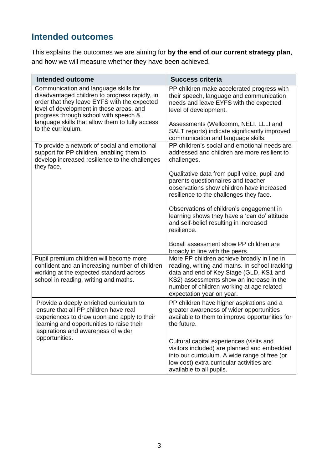# **Intended outcomes**

This explains the outcomes we are aiming for **by the end of our current strategy plan**, and how we will measure whether they have been achieved.

| <b>Intended outcome</b>                                                                                                                                                                                                      | <b>Success criteria</b>                                                                                                                                                                                                                                        |
|------------------------------------------------------------------------------------------------------------------------------------------------------------------------------------------------------------------------------|----------------------------------------------------------------------------------------------------------------------------------------------------------------------------------------------------------------------------------------------------------------|
| Communication and language skills for<br>disadvantaged children to progress rapidly, in<br>order that they leave EYFS with the expected<br>level of development in these areas, and<br>progress through school with speech & | PP children make accelerated progress with<br>their speech, language and communication<br>needs and leave EYFS with the expected<br>level of development.                                                                                                      |
| language skills that allow them to fully access<br>to the curriculum.                                                                                                                                                        | Assessments (Wellcomm, NELI, LLLI and<br>SALT reports) indicate significantly improved<br>communication and language skills.                                                                                                                                   |
| To provide a network of social and emotional<br>support for PP children, enabling them to<br>develop increased resilience to the challenges<br>they face.                                                                    | PP children's social and emotional needs are<br>addressed and children are more resilient to<br>challenges.                                                                                                                                                    |
|                                                                                                                                                                                                                              | Qualitative data from pupil voice, pupil and<br>parents questionnaires and teacher<br>observations show children have increased<br>resilience to the challenges they face.                                                                                     |
|                                                                                                                                                                                                                              | Observations of children's engagement in<br>learning shows they have a 'can do' attitude<br>and self-belief resulting in increased<br>resilience.                                                                                                              |
|                                                                                                                                                                                                                              | Boxall assessment show PP children are<br>broadly in line with the peers.                                                                                                                                                                                      |
| Pupil premium children will become more<br>confident and an increasing number of children<br>working at the expected standard across<br>school in reading, writing and maths.                                                | More PP children achieve broadly in line in<br>reading, writing and maths. In school tracking<br>data and end of Key Stage (GLD, KS1 and<br>KS2) assessments show an increase in the<br>number of children working at age related<br>expectation year on year. |
| Provide a deeply enriched curriculum to<br>ensure that all PP children have real<br>experiences to draw upon and apply to their<br>learning and opportunities to raise their<br>aspirations and awareness of wider           | PP children have higher aspirations and a<br>greater awareness of wider opportunities<br>available to them to improve opportunities for<br>the future.                                                                                                         |
| opportunities.                                                                                                                                                                                                               | Cultural capital experiences (visits and<br>visitors included) are planned and embedded<br>into our curriculum. A wide range of free (or<br>low cost) extra-curricular activities are<br>available to all pupils.                                              |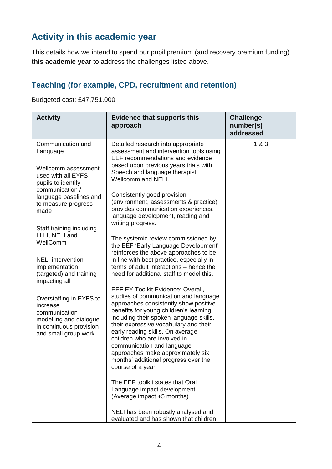# **Activity in this academic year**

This details how we intend to spend our pupil premium (and recovery premium funding) **this academic year** to address the challenges listed above.

#### **Teaching (for example, CPD, recruitment and retention)**

Budgeted cost: £47,751.000

| <b>Activity</b>                                                                                                                    | <b>Evidence that supports this</b><br>approach                                                                                                                                                                                                                                                                                                                                                                                                          | <b>Challenge</b><br>number(s)<br>addressed |
|------------------------------------------------------------------------------------------------------------------------------------|---------------------------------------------------------------------------------------------------------------------------------------------------------------------------------------------------------------------------------------------------------------------------------------------------------------------------------------------------------------------------------------------------------------------------------------------------------|--------------------------------------------|
| <b>Communication and</b><br>Language                                                                                               | Detailed research into appropriate<br>assessment and intervention tools using<br>EEF recommendations and evidence                                                                                                                                                                                                                                                                                                                                       | 1 & 3                                      |
| Wellcomm assessment<br>used with all EYFS<br>pupils to identify                                                                    | based upon previous years trials with<br>Speech and language therapist,<br>Wellcomm and NELI.                                                                                                                                                                                                                                                                                                                                                           |                                            |
| communication /<br>language baselines and<br>to measure progress<br>made                                                           | Consistently good provision<br>(environment, assessments & practice)<br>provides communication experiences,<br>language development, reading and<br>writing progress.                                                                                                                                                                                                                                                                                   |                                            |
| Staff training including<br>LLLI, NELI and<br>WellComm                                                                             | The systemic review commissioned by<br>the EEF 'Early Language Development'                                                                                                                                                                                                                                                                                                                                                                             |                                            |
| <b>NELI</b> intervention<br>implementation<br>(targeted) and training<br>impacting all                                             | reinforces the above approaches to be<br>in line with best practice, especially in<br>terms of adult interactions - hence the<br>need for additional staff to model this.                                                                                                                                                                                                                                                                               |                                            |
| Overstaffing in EYFS to<br>increase<br>communication<br>modelling and dialogue<br>in continuous provision<br>and small group work. | EEF EY Toolkit Evidence: Overall,<br>studies of communication and language<br>approaches consistently show positive<br>benefits for young children's learning,<br>including their spoken language skills,<br>their expressive vocabulary and their<br>early reading skills. On average,<br>children who are involved in<br>communication and language<br>approaches make approximately six<br>months' additional progress over the<br>course of a year. |                                            |
|                                                                                                                                    | The EEF toolkit states that Oral<br>Language impact development<br>(Average impact +5 months)                                                                                                                                                                                                                                                                                                                                                           |                                            |
|                                                                                                                                    | NELI has been robustly analysed and<br>evaluated and has shown that children                                                                                                                                                                                                                                                                                                                                                                            |                                            |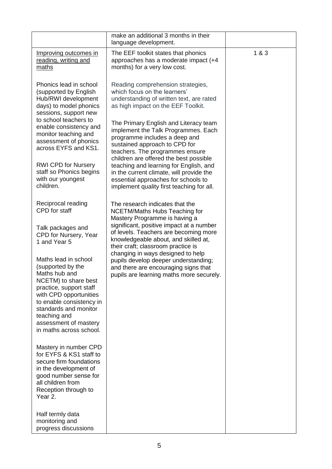|                                                                                                                                                                                                                                                                  | make an additional 3 months in their<br>language development.                                                                                                                                                    |       |
|------------------------------------------------------------------------------------------------------------------------------------------------------------------------------------------------------------------------------------------------------------------|------------------------------------------------------------------------------------------------------------------------------------------------------------------------------------------------------------------|-------|
| Improving outcomes in<br>reading, writing and<br>maths                                                                                                                                                                                                           | The EEF toolkit states that phonics<br>approaches has a moderate impact (+4<br>months) for a very low cost.                                                                                                      | 1 & 3 |
| Phonics lead in school<br>(supported by English<br>Hub/RWI development<br>days) to model phonics<br>sessions, support new                                                                                                                                        | Reading comprehension strategies,<br>which focus on the learners'<br>understanding of written text, are rated<br>as high impact on the EEF Toolkit.                                                              |       |
| to school teachers to<br>enable consistency and<br>monitor teaching and<br>assessment of phonics<br>across EYFS and KS1.                                                                                                                                         | The Primary English and Literacy team<br>implement the Talk Programmes. Each<br>programme includes a deep and<br>sustained approach to CPD for<br>teachers. The programmes ensure                                |       |
| <b>RWI CPD for Nursery</b><br>staff so Phonics begins<br>with our youngest<br>children.                                                                                                                                                                          | children are offered the best possible<br>teaching and learning for English, and<br>in the current climate, will provide the<br>essential approaches for schools to<br>implement quality first teaching for all. |       |
| Reciprocal reading<br>CPD for staff                                                                                                                                                                                                                              | The research indicates that the<br>NCETM/Maths Hubs Teaching for<br>Mastery Programme is having a                                                                                                                |       |
| Talk packages and<br>CPD for Nursery, Year<br>1 and Year 5                                                                                                                                                                                                       | significant, positive impact at a number<br>of levels. Teachers are becoming more<br>knowledgeable about, and skilled at,<br>their craft; classroom practice is                                                  |       |
| Maths lead in school<br>(supported by the<br>Maths hub and<br>NCETM) to share best<br>practice, support staff<br>with CPD opportunities<br>to enable consistency in<br>standards and monitor<br>teaching and<br>assessment of mastery<br>in maths across school. | changing in ways designed to help<br>pupils develop deeper understanding;<br>and there are encouraging signs that<br>pupils are learning maths more securely.                                                    |       |
| Mastery in number CPD<br>for EYFS & KS1 staff to<br>secure firm foundations<br>in the development of<br>good number sense for<br>all children from<br>Reception through to<br>Year 2.                                                                            |                                                                                                                                                                                                                  |       |
| Half termly data<br>monitoring and<br>progress discussions                                                                                                                                                                                                       |                                                                                                                                                                                                                  |       |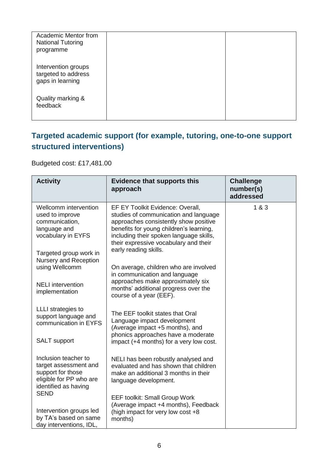| Academic Mentor from<br><b>National Tutoring</b><br>programme  |  |
|----------------------------------------------------------------|--|
| Intervention groups<br>targeted to address<br>gaps in learning |  |
| Quality marking &<br>feedback                                  |  |

## **Targeted academic support (for example, tutoring, one-to-one support structured interventions)**

Budgeted cost: £17,481.00

| <b>Activity</b>                                                                                                       | <b>Evidence that supports this</b><br>approach                                                                                                                                                                                                                             | <b>Challenge</b><br>number(s)<br>addressed |
|-----------------------------------------------------------------------------------------------------------------------|----------------------------------------------------------------------------------------------------------------------------------------------------------------------------------------------------------------------------------------------------------------------------|--------------------------------------------|
| Wellcomm intervention<br>used to improve<br>communication,<br>language and<br>vocabulary in EYFS                      | EF EY Toolkit Evidence: Overall,<br>studies of communication and language<br>approaches consistently show positive<br>benefits for young children's learning,<br>including their spoken language skills,<br>their expressive vocabulary and their<br>early reading skills. | 1&8&3                                      |
| Targeted group work in<br>Nursery and Reception<br>using Wellcomm                                                     | On average, children who are involved<br>in communication and language                                                                                                                                                                                                     |                                            |
| <b>NELI</b> intervention<br>implementation                                                                            | approaches make approximately six<br>months' additional progress over the<br>course of a year (EEF).                                                                                                                                                                       |                                            |
| LLLI strategies to<br>support language and<br>communication in EYFS                                                   | The EEF toolkit states that Oral<br>Language impact development<br>(Average impact +5 months), and                                                                                                                                                                         |                                            |
| <b>SALT</b> support                                                                                                   | phonics approaches have a moderate<br>impact (+4 months) for a very low cost.                                                                                                                                                                                              |                                            |
| Inclusion teacher to<br>target assessment and<br>support for those<br>eligible for PP who are<br>identified as having | NELI has been robustly analysed and<br>evaluated and has shown that children<br>make an additional 3 months in their<br>language development.                                                                                                                              |                                            |
| <b>SEND</b><br>Intervention groups led<br>by TA's based on same<br>day interventions, IDL,                            | <b>EEF toolkit: Small Group Work</b><br>(Average impact +4 months), Feedback<br>(high impact for very low cost +8<br>months)                                                                                                                                               |                                            |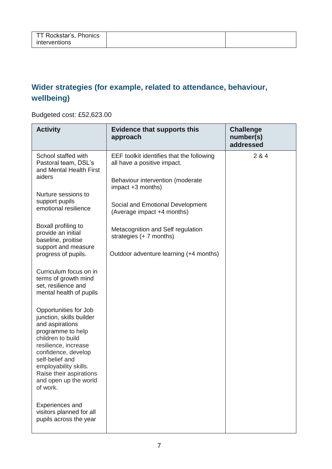## **Wider strategies (for example, related to attendance, behaviour, wellbeing)**

Budgeted cost: £52,623.00

| <b>Activity</b>                                                                                                                                                                                                                                                           | <b>Evidence that supports this</b><br>approach                           | <b>Challenge</b><br>number(s)<br>addressed |
|---------------------------------------------------------------------------------------------------------------------------------------------------------------------------------------------------------------------------------------------------------------------------|--------------------------------------------------------------------------|--------------------------------------------|
| School staffed with<br>Pastoral team, DSL's<br>and Mental Health First<br>aiders                                                                                                                                                                                          | EEF toolkit identifies that the following<br>all have a positive impact. | 2 & 4                                      |
| Nurture sessions to                                                                                                                                                                                                                                                       | Behaviour intervention (moderate<br>impact +3 months)                    |                                            |
| support pupils<br>emotional resilience                                                                                                                                                                                                                                    | Social and Emotional Development<br>(Average impact +4 months)           |                                            |
| Boxall profiling to<br>provide an initial<br>baseline, proitise                                                                                                                                                                                                           | Metacognition and Self regulation<br>strategies $(+ 7$ months)           |                                            |
| support and measure<br>progress of pupils.                                                                                                                                                                                                                                | Outdoor adventure learning (+4 months)                                   |                                            |
| Curriculum focus on in<br>terms of growth mind<br>set, resilience and<br>mental health of pupils                                                                                                                                                                          |                                                                          |                                            |
| Opportunities for Job<br>junction, skills builder<br>and aspirations<br>programme to help<br>children to build<br>resilience, increase<br>confidence, develop<br>self-belief and<br>employability skills.<br>Raise their aspirations<br>and open up the world<br>of work. |                                                                          |                                            |
| Experiences and<br>visitors planned for all<br>pupils across the year                                                                                                                                                                                                     |                                                                          |                                            |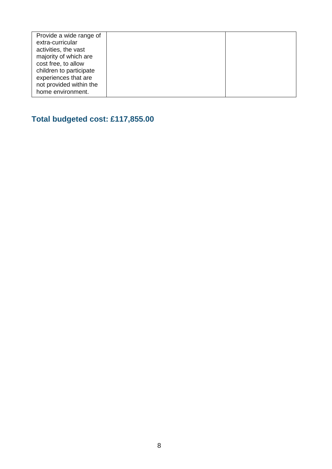| Provide a wide range of |  |
|-------------------------|--|
| extra-curricular        |  |
| activities, the vast    |  |
| majority of which are   |  |
| cost free, to allow     |  |
| children to participate |  |
| experiences that are    |  |
| not provided within the |  |
| home environment.       |  |
|                         |  |

# **Total budgeted cost: £117,855.00**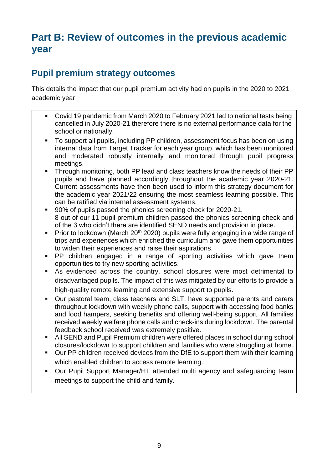# **Part B: Review of outcomes in the previous academic year**

## **Pupil premium strategy outcomes**

This details the impact that our pupil premium activity had on pupils in the 2020 to 2021 academic year.

- Covid 19 pandemic from March 2020 to February 2021 led to national tests being cancelled in July 2020-21 therefore there is no external performance data for the school or nationally.
- To support all pupils, including PP children, assessment focus has been on using internal data from Target Tracker for each year group, which has been monitored and moderated robustly internally and monitored through pupil progress meetings.
- Through monitoring, both PP lead and class teachers know the needs of their PP pupils and have planned accordingly throughout the academic year 2020-21. Current assessments have then been used to inform this strategy document for the academic year 2021/22 ensuring the most seamless learning possible. This can be ratified via internal assessment systems.
- 90% of pupils passed the phonics screening check for 2020-21. 8 out of our 11 pupil premium children passed the phonics screening check and of the 3 who didn't there are identified SEND needs and provision in place.
- Prior to lockdown (March 20<sup>th</sup> 2020) pupils were fully engaging in a wide range of trips and experiences which enriched the curriculum and gave them opportunities to widen their experiences and raise their aspirations.
- PP children engaged in a range of sporting activities which gave them opportunities to try new sporting activities.
- As evidenced across the country, school closures were most detrimental to disadvantaged pupils. The impact of this was mitigated by our efforts to provide a high-quality remote learning and extensive support to pupils.
- Our pastoral team, class teachers and SLT, have supported parents and carers throughout lockdown with weekly phone calls, support with accessing food banks and food hampers, seeking benefits and offering well-being support. All families received weekly welfare phone calls and check-ins during lockdown. The parental feedback school received was extremely positive.
- All SEND and Pupil Premium children were offered places in school during school closures/lockdown to support children and families who were struggling at home.
- Our PP children received devices from the DfE to support them with their learning which enabled children to access remote learning.
- Our Pupil Support Manager/HT attended multi agency and safeguarding team meetings to support the child and family.